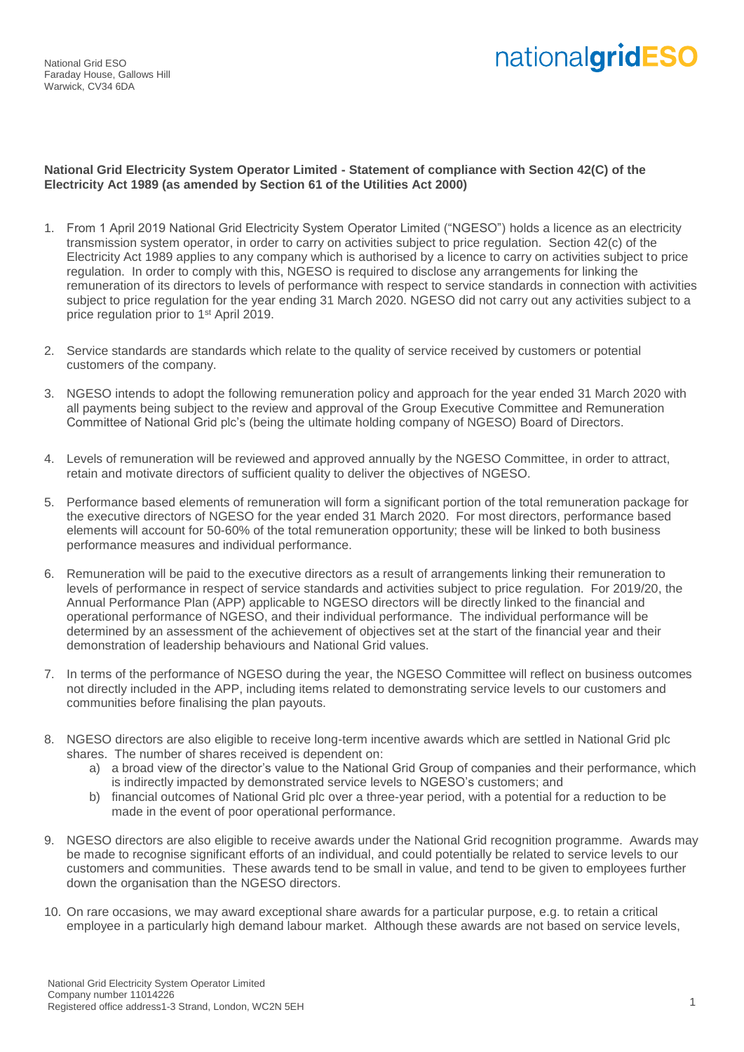National Grid ESO Faraday House, Gallows Hill Warwick, CV34 6DA

## nationalgridESO

## **National Grid Electricity System Operator Limited - Statement of compliance with Section 42(C) of the Electricity Act 1989 (as amended by Section 61 of the Utilities Act 2000)**

- 1. From 1 April 2019 National Grid Electricity System Operator Limited ("NGESO") holds a licence as an electricity transmission system operator, in order to carry on activities subject to price regulation. Section 42(c) of the Electricity Act 1989 applies to any company which is authorised by a licence to carry on activities subject to price regulation. In order to comply with this, NGESO is required to disclose any arrangements for linking the remuneration of its directors to levels of performance with respect to service standards in connection with activities subject to price regulation for the year ending 31 March 2020. NGESO did not carry out any activities subject to a price regulation prior to 1st April 2019.
- 2. Service standards are standards which relate to the quality of service received by customers or potential customers of the company.
- 3. NGESO intends to adopt the following remuneration policy and approach for the year ended 31 March 2020 with all payments being subject to the review and approval of the Group Executive Committee and Remuneration Committee of National Grid plc's (being the ultimate holding company of NGESO) Board of Directors.
- 4. Levels of remuneration will be reviewed and approved annually by the NGESO Committee, in order to attract, retain and motivate directors of sufficient quality to deliver the objectives of NGESO.
- 5. Performance based elements of remuneration will form a significant portion of the total remuneration package for the executive directors of NGESO for the year ended 31 March 2020. For most directors, performance based elements will account for 50-60% of the total remuneration opportunity; these will be linked to both business performance measures and individual performance.
- 6. Remuneration will be paid to the executive directors as a result of arrangements linking their remuneration to levels of performance in respect of service standards and activities subject to price regulation. For 2019/20, the Annual Performance Plan (APP) applicable to NGESO directors will be directly linked to the financial and operational performance of NGESO, and their individual performance. The individual performance will be determined by an assessment of the achievement of objectives set at the start of the financial year and their demonstration of leadership behaviours and National Grid values.
- 7. In terms of the performance of NGESO during the year, the NGESO Committee will reflect on business outcomes not directly included in the APP, including items related to demonstrating service levels to our customers and communities before finalising the plan payouts.
- 8. NGESO directors are also eligible to receive long-term incentive awards which are settled in National Grid plc shares. The number of shares received is dependent on:
	- a) a broad view of the director's value to the National Grid Group of companies and their performance, which is indirectly impacted by demonstrated service levels to NGESO's customers; and
	- b) financial outcomes of National Grid plc over a three-year period, with a potential for a reduction to be made in the event of poor operational performance.
- 9. NGESO directors are also eligible to receive awards under the National Grid recognition programme. Awards may be made to recognise significant efforts of an individual, and could potentially be related to service levels to our customers and communities. These awards tend to be small in value, and tend to be given to employees further down the organisation than the NGESO directors.
- 10. On rare occasions, we may award exceptional share awards for a particular purpose, e.g. to retain a critical employee in a particularly high demand labour market. Although these awards are not based on service levels,